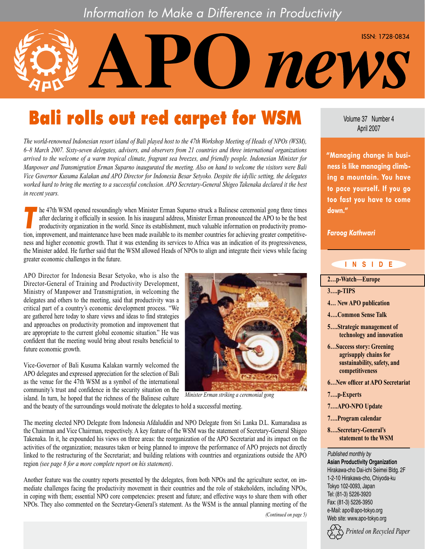## Information to Make a Difference in Productivity

# Bali rolls out red carpet for WSM

*The world-renowned Indonesian resort island of Bali played host to the 47th Workshop Meeting of Heads of NPOs (WSM), 6–8 March 2007. Sixty-seven delegates, advisers, and observers from 21 countries and three international organizations arrived to the welcome of a warm tropical climate, fragrant sea breezes, and friendly people. Indonesian Minister for Manpower and Transmigration Erman Suparno inaugurated the meeting. Also on hand to welcome the visitors were Bali Vice Governor Kusuma Kalakan and APO Director for Indonesia Besar Setyoko. Despite the idyllic setting, the delegates worked hard to bring the meeting to a successful conclusion. APO Secretary-General Shigeo Takenaka declared it the best in recent years.*

he 47th WSM opened resoundingly when Minister Erman Suparno struck a Balinese ceremonial gong three times<br>after declaring it officially in session. In his inaugural address, Minister Erman pronounced the APO to be the best after declaring it officially in session. In his inaugural address, Minister Erman pronounced the APO to be the best tion, improvement, and maintenance have been made available to its member countries for achieving greater competitiveness and higher economic growth. That it was extending its services to Africa was an indication of its progressiveness, the Minister added. He further said that the WSM allowed Heads of NPOs to align and integrate their views while facing greater economic challenges in the future.

APO Director for Indonesia Besar Setyoko, who is also the Director-General of Training and Productivity Development, Ministry of Manpower and Transmigration, in welcoming the delegates and others to the meeting, said that productivity was a critical part of a country's economic development process. "We are gathered here today to share views and ideas to find strategies and approaches on productivity promotion and improvement that are appropriate to the current global economic situation." He was confident that the meeting would bring about results beneficial to future economic growth.

Vice-Governor of Bali Kusuma Kalakan warmly welcomed the APO delegates and expressed appreciation for the selection of Bali as the venue for the 47th WSM as a symbol of the international community's trust and confidence in the security situation on the island. In turn, he hoped that the richness of the Balinese culture



*Minister Erman striking a ceremonial gong* 

and the beauty of the surroundings would motivate the delegates to hold a successful meeting.

The meeting elected NPO Delegate from Indonesia Afdaluddin and NPO Delegate from Sri Lanka D.L. Kumaradasa as the Chairman and Vice Chairman, respectively. A key feature of the WSM was the statement of Secretary-General Shigeo Takenaka. In it, he expounded his views on three areas: the reorganization of the APO Secretariat and its impact on the activities of the organization; measures taken or being planned to improve the performance of APO projects not directly linked to the restructuring of the Secretariat; and building relations with countries and organizations outside the APO region *(see page 8 for a more complete report on his statement)*.

Another feature was the country reports presented by the delegates, from both NPOs and the agriculture sector, on immediate challenges facing the productivity movement in their countries and the role of stakeholders, including NPOs, in coping with them; essential NPO core competencies: present and future; and effective ways to share them with other NPOs. They also commented on the Secretary-General's statement. As the WSM is the annual planning meeting of the

*(Continued on page 5)*

Volume 37 Number 4 April 2007

new.

ISSN: 1728-0834

**"Managing change in business is like managing climbing a mountain. You have to pace yourself. If you go too fast you have to come down."**

*Faroog Kathwari*

### **I N S I D E**

- **[2…p-Watch—Europe](#page-1-0)**
- **3….p-TIPS**
- **4… New APO publication**
- **4….Common Sense Talk**
- **5….Strategic management of technology and innovation**
- **6…Success story: Greening agrisupply chains for sustainability, safety, and competitiveness**
- **6…New officer at APO Secretariat**
- **7….p-Experts**
- **7….APO-NPO Update**
- **7….Program calendar**
- **8….Secretary-General's statement to the WSM**

*Published monthly by* **Asian Productivity Organization**

Hirakawa-cho Dai-ichi Seimei Bldg. 2F 1-2-10 Hirakawa-cho, Chiyoda-ku Tokyo 102-0093, Japan Tel: (81-3) 5226-3920 Fax: (81-3) 5226-3950 e-Mail: apo@apo-tokyo.org Web site: www.apo-tokyo.org

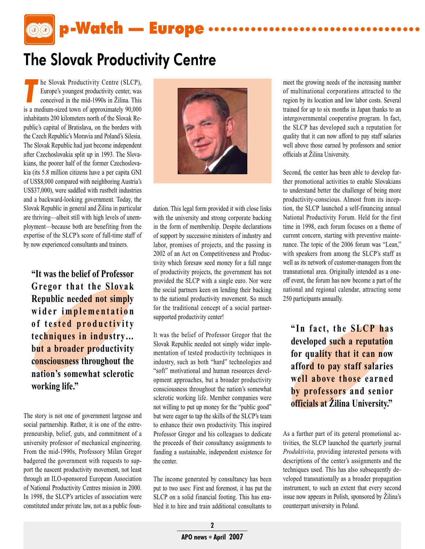p-Watch — Europe **...................................**

## <span id="page-1-0"></span>The Slovak Productivity Centre

**The Slovak Productivity Centre (SLCP),**<br>
Europe's youngest productivity center, was<br>
conceived in the mid-1990s in Žilina. This Europe's youngest productivity center, was is a medium-sized town of approximately 90,000 inhabitants 200 kilometers north of the Slovak Republic's capital of Bratislava, on the borders with the Czech Republic's Moravia and Poland's Silesia. The Slovak Republic had just become independent after Czechoslovakia split up in 1993. The Slovakians, the poorer half of the former Czechoslovakia (its 5.8 million citizens have a per capita GNI of US\$8,000 compared with neighboring Austria's US\$37,000), were saddled with rustbelt industries and a backward-looking government. Today, the Slovak Republic in general and Žilina in particular are thriving—albeit still with high levels of unemployment—because both are benefiting from the expertise of the SLCP's score of full-time staff of by now experienced consultants and trainers.

**"It was the belief of Professor Gregor that the Slovak Republic needed not simply**  wider implementation of tested productivity **techniques in industry… but a broader productivity consciousness throughout the nation's somewhat sclerotic working life."**

The story is not one of government largesse and social partnership. Rather, it is one of the entrepreneurship, belief, guts, and commitment of a university professor of mechanical engineering. From the mid-1990s, Professory Milan Gregor badgered the government with requests to support the nascent productivity movement, not least through an ILO-sponsored European Association of National Productivity Centres mission in 2000. In 1998, the SLCP's articles of association were constituted under private law, not as a public foun-



dation. This legal form provided it with close links with the university and strong corporate backing in the form of membership. Despite declarations of support by successive ministers of industry and labor, promises of projects, and the passing in 2002 of an Act on Competitiveness and Productivity which foresaw seed money for a full range of productivity projects, the government has not provided the SLCP with a single euro. Nor were the social partners keen on lending their backing to the national productivity movement. So much for the traditional concept of a social partnersupported productivity center!

It was the belief of Professor Gregor that the Slovak Republic needed not simply wider implementation of tested productivity techniques in industry, such as both "hard" technologies and "soft" motivational and human resources development approaches, but a broader productivity consciousness throughout the nation's somewhat sclerotic working life. Member companies were not willing to put up money for the "public good" but were eager to tap the skills of the SLCP's team to enhance their own productivity. This inspired Professor Gregor and his colleagues to dedicate the proceeds of their consultancy assignments to funding a sustainable, independent existence for the center.

The income generated by consultancy has been put to two uses: First and foremost, it has put the SLCP on a solid financial footing. This has enabled it to hire and train additional consultants to

meet the growing needs of the increasing number of multinational corporations attracted to the region by its location and low labor costs. Several trained for up to six months in Japan thanks to an intergovernmental cooperative program. In fact, the SLCP has developed such a reputation for quality that it can now afford to pay staff salaries well above those earned by professors and senior officials at Žilina University.

Second, the center has been able to develop further promotional activities to enable Slovakians to understand better the challenge of being more productivity-conscious. Almost from its inception, the SLCP launched a self-financing annual National Productivity Forum. Held for the first time in 1998, each forum focuses on a theme of current concern, starting with preventive maintenance. The topic of the 2006 forum was "Lean," with speakers from among the SLCP's staff as well as its network of customer-managers from the transnational area. Originally intended as a oneoff event, the forum has now become a part of the national and regional calendar, attracting some 250 participants annually.

"In fact, the **SLCP** has **developed such a reputation for quality that it can now afford to pay staff salaries well above those earned by professors and senior officials at Žilina University."**

As a further part of its general promotional activities, the SLCP launched the quarterly journal *Produktivita*, providing interested persons with descriptions of the center's assignments and the techniques used. This has also subsequently developed transnationally as a broader propagation instrument, to such an extent that every second issue now appears in Polish, sponsored by Žilina's counterpart university in Poland.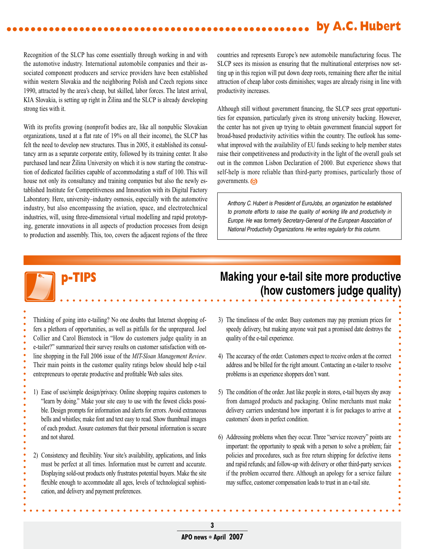#### **by A.C. Hubert ..................................................**

Recognition of the SLCP has come essentially through working in and with the automotive industry. International automobile companies and their associated component producers and service providers have been established within western Slovakia and the neighboring Polish and Czech regions since 1990, attracted by the area's cheap, but skilled, labor forces. The latest arrival, KIA Slovakia, is setting up right in Žilina and the SLCP is already developing strong ties with it.

With its profits growing (nonprofit bodies are, like all nonpublic Slovakian organizations, taxed at a flat rate of 19% on all their income), the SLCP has felt the need to develop new structures. Thus in 2005, it established its consultancy arm as a separate corporate entity, followed by its training center. It also purchased land near Žilina University on which it is now starting the construction of dedicated facilities capable of accommodating a staff of 100. This will house not only its consultancy and training companies but also the newly established Institute for Competitiveness and Innovation with its Digital Factory Laboratory. Here, university–industry osmosis, especially with the automotive industry, but also encompassing the aviation, space, and electrotechnical industries, will, using three-dimensional virtual modelling and rapid prototyping, generate innovations in all aspects of production processes from design to production and assembly. This, too, covers the adjacent regions of the three countries and represents Europe's new automobile manufacturing focus. The SLCP sees its mission as ensuring that the multinational enterprises now setting up in this region will put down deep roots, remaining there after the initial attraction of cheap labor costs diminishes; wages are already rising in line with productivity increases.

Although still without government financing, the SLCP sees great opportunities for expansion, particularly given its strong university backing. However, the center has not given up trying to obtain government financial support for broad-based productivity activities within the country. The outlook has somewhat improved with the availability of EU funds seeking to help member states raise their competitiveness and productivity in the light of the overall goals set out in the common Lisbon Declaration of 2000. But experience shows that self-help is more reliable than third-party promises, particularly those of governments.

*Anthony C. Hubert is President of EuroJobs, an organization he established to promote efforts to raise the quality of working life and productivity in Europe. He was formerly Secretary-General of the European Association of National Productivity Organizations. He writes regularly for this column.*

Thinking of going into e-tailing? No one doubts that Internet shopping offers a plethora of opportunities, as well as pitfalls for the unprepared. Joel Collier and Carol Bienstock in "How do customers judge quality in an e-tailer?" summarized their survey results on customer satisfaction with online shopping in the Fall 2006 issue of the *MIT-Sloan Management Review*. Their main points in the customer quality ratings below should help e-tail entrepreneurs to operate productive and profitable Web sales sites.

- 1) Ease of use/simple design/privacy. Online shopping requires customers to "learn by doing." Make your site easy to use with the fewest clicks possible. Design prompts for information and alerts for errors. Avoid extraneous bells and whistles; make font and text easy to read. Show thumbnail images of each product. Assure customers that their personal information is secure and not shared.
- 2) Consistency and flexibility. Your site's availability, applications, and links must be perfect at all times. Information must be current and accurate. Displaying sold-out products only frustrates potential buyers. Make the site flexible enough to accommodate all ages, levels of technological sophistication, and delivery and payment preferences.

### **p-TIPS Making your e-tail site more productive (how customers judge quality)**

- 3) The timeliness of the order. Busy customers may pay premium prices for speedy delivery, but making anyone wait past a promised date destroys the quality of the e-tail experience.
- 4) The accuracy of the order. Customers expect to receive orders at the correct address and be billed for the right amount. Contacting an e-tailer to resolve problems is an experience shoppers don't want.
- 5) The condition of the order. Just like people in stores, e-tail buyers shy away from damaged products and packaging. Online merchants must make delivery carriers understand how important it is for packages to arrive at customers' doors in perfect condition.
- 6) Addressing problems when they occur. Three "service recovery" points are important: the opportunity to speak with a person to solve a problem; fair policies and procedures, such as free return shipping for defective items and rapid refunds; and follow-up with delivery or other third-party services if the problem occurred there. Although an apology for a service failure may suffice, customer compensation leads to trust in an e-tail site.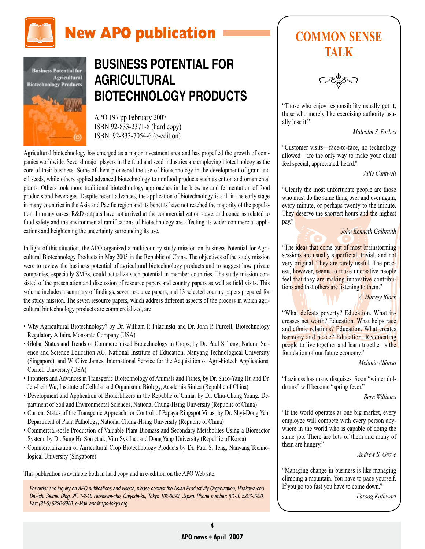



## **BUSINESS POTENTIAL FOR AGRICULTURAL BIOTECHNOLOGY PRODUCTS**

APO 197 pp February 2007 ISBN 92-833-2371-8 (hard copy) ISBN: 92-833-7054-6 (e-edition)

Agricultural biotechnology has emerged as a major investment area and has propelled the growth of companies worldwide. Several major players in the food and seed industries are employing biotechnology as the core of their business. Some of them pioneered the use of biotechnology in the development of grain and oil seeds, while others applied advanced biotechnology to nonfood products such as cotton and ornamental plants. Others took more traditional biotechnology approaches in the brewing and fermentation of food products and beverages. Despite recent advances, the application of biotechnology is still in the early stage in many countries in the Asia and Pacific region and its benefits have not reached the majority of the population. In many cases, R&D outputs have not arrived at the commercialization stage, and concerns related to food safety and the environmental ramifications of biotechnology are affecting its wider commercial applications and heightening the uncertainty surrounding its use.

In light of this situation, the APO organized a multicountry study mission on Business Potential for Agricultural Biotechnology Products in May 2005 in the Republic of China. The objectives of the study mission were to review the business potential of agricultural biotechnology products and to suggest how private companies, especially SMEs, could actualize such potential in member countries. The study mission consisted of the presentation and discussion of resource papers and country papers as well as field visits. This volume includes a summary of findings, seven resource papers, and 13 selected country papers prepared for the study mission. The seven resource papers, which address different aspects of the process in which agricultural biotechnology products are commercialized, are:

- Why Agricultural Biotechnology? by Dr. William P. Pilacinski and Dr. John P. Purcell, Biotechnology Regulatory Affairs, Monsanto Company (USA)
- Global Status and Trends of Commercialized Biotechnology in Crops, by Dr. Paul S. Teng, Natural Science and Science Education AG, National Institute of Education, Nanyang Technological University (Singapore), and W. Clive James, International Service for the Acquisition of Agri-biotech Applications, Cornell University (USA)
- Frontiers and Advances in Transgenic Biotechnology of Animals and Fishes, by Dr. Shao-Yang Hu and Dr. Jen-Leih Wu, Institute of Cellular and Organismic Biology, Academia Sinica (Republic of China)
- Development and Application of Biofertilizers in the Republic of China, by Dr. Chiu-Chung Young, Department of Soil and Environmental Sciences, National Chung-Hsing University (Republic of China)
- Current Status of the Transgenic Approach for Control of Papaya Ringspot Virus, by Dr. Shyi-Dong Yeh, Department of Plant Pathology, National Chung-Hsing University (Republic of China)
- Commercial-scale Production of Valuable Plant Biomass and Secondary Metabolites Using a Bioreactor System, by Dr. Sung Ho Son et al., VitroSys Inc. and Dong Yang University (Republic of Korea)
- Commercialization of Agricultural Crop Biotechnology Products by Dr. Paul S. Teng, Nanyang Technological University (Singapore)

This publication is available both in hard copy and in e-edition on the APO Web site.

*For order and inquiry on APO publications and videos, please contact the Asian Productivity Organization, Hirakawa-cho Dai-ichi Seimei Bldg. 2F, 1-2-10 Hirakawa-cho, Chiyoda-ku, Tokyo 102-0093, Japan. Phone number: (81-3) 5226-3920, Fax: (81-3) 5226-3950, e-Mail: apo@apo-tokyo.org*

## **COMMON SENSE TALK**

"Those who enjoy responsibility usually get it; those who merely like exercising authority usually lose it."

*Malcolm S. Forbes*

"Customer visits—face-to-face, no technology allowed—are the only way to make your client feel special, appreciated, heard."

*Julie Cantwell*

"Clearly the most unfortunate people are those who must do the same thing over and over again, every minute, or perhaps twenty to the minute. They deserve the shortest hours and the highest pay."

*John Kenneth Galbraith*

"The ideas that come out of most brainstorming sessions are usually superficial, trivial, and not very original. They are rarely useful. The process, however, seems to make uncreative people feel that they are making innovative contributions and that others are listening to them."

*A. Harvey Block*

"What defeats poverty? Education. What increases net worth? Education. What helps race and ethnic relations? Education. What creates harmony and peace? Education. Reeducating people to live together and learn together is the foundation of our future economy."

*Melanie Alfonso*

"Laziness has many disguises. Soon "winter doldrums" will become "spring fever."

*Bern Williams*

"If the world operates as one big market, every employee will compete with every person anywhere in the world who is capable of doing the same job. There are lots of them and many of them are hungry."

*Andrew S. Grove*

"Managing change in business is like managing climbing a mountain. You have to pace yourself. If you go too fast you have to come down."

*Faroog Kathwari*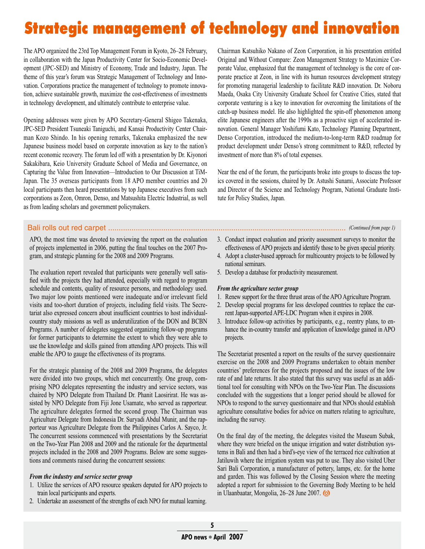# Strategic management of technology and innovation

The APO organized the 23rd Top Management Forum in Kyoto, 26–28 February, in collaboration with the Japan Productivity Center for Socio-Economic Development (JPC-SED) and Ministry of Economy, Trade and Industry, Japan. The theme of this year's forum was Strategic Management of Technology and Innovation. Corporations practice the management of technology to promote innovation, achieve sustainable growth, maximize the cost-effectiveness of investments in technology development, and ultimately contribute to enterprise value.

Opening addresses were given by APO Secretary-General Shigeo Takenaka, JPC-SED President Tsuneaki Taniguchi, and Kansai Productivity Center Chairman Kozo Shindo. In his opening remarks, Takenaka emphasized the new Japanese business model based on corporate innovation as key to the nation's recent economic recovery. The forum led off with a presentation by Dr. Kiyonori Sakakibara, Keio University Graduate School of Media and Governance, on Capturing the Value from Innovation—Introduction to Our Discussion at TiM-Japan. The 35 overseas participants from 18 APO member countries and 20 local participants then heard presentations by top Japanese executives from such corporations as Zeon, Omron, Denso, and Matsushita Electric Industrial, as well as from leading scholars and government policymakers.

Chairman Katsuhiko Nakano of Zeon Corporation, in his presentation entitled Original and Without Compare: Zeon Management Strategy to Maximize Corporate Value, emphasized that the management of technology is the core of corporate practice at Zeon, in line with its human resources development strategy for promoting managerial leadership to facilitate R&D innovation. Dr. Noboru Maeda, Osaka City University Graduate School for Creative Cities, stated that corporate venturing is a key to innovation for overcoming the limitations of the catch-up business model. He also highlighted the spin-off phenomenon among elite Japanese engineers after the 1990s as a proactive sign of accelerated innovation. General Manager Yoshifumi Kato, Technology Planning Department, Denso Corporation, introduced the medium-to-long-term R&D roadmap for product development under Denso's strong commitment to R&D, reflected by investment of more than 8% of total expenses.

Near the end of the forum, the participants broke into groups to discuss the topics covered in the sessions, chaired by Dr. Astushi Sunami, Associate Professor and Director of the Science and Technology Program, National Graduate Institute for Policy Studies, Japan.

### Bali rolls out red carpet ................................................................................................................ *(Continued from page 1)*

APO, the most time was devoted to reviewing the report on the evaluation of projects implemented in 2006, putting the final touches on the 2007 Program, and strategic planning for the 2008 and 2009 Programs.

The evaluation report revealed that participants were generally well satisfied with the projects they had attended, especially with regard to program schedule and contents, quality of resource persons, and methodology used. Two major low points mentioned were inadequate and/or irrelevant field visits and too-short duration of projects, including field visits. The Secretariat also expressed concern about insufficient countries to host individualcountry study missions as well as underutilization of the DON and BCBN Programs. A number of delegates suggested organizing follow-up programs for former participants to determine the extent to which they were able to use the knowledge and skills gained from attending APO projects. This will enable the APO to gauge the effectiveness of its programs.

For the strategic planning of the 2008 and 2009 Programs, the delegates were divided into two groups, which met concurrently. One group, comprising NPO delegates representing the industry and service sectors, was chaired by NPO Delegate from Thailand Dr. Phanit Laosirirat. He was assisted by NPO Delegate from Fiji Jone Usamate, who served as rapporteur. The agriculture delegates formed the second group. The Chairman was Agriculture Delegate from Indonesia Dr. Suryadi Abdul Munir, and the rapporteur was Agriculture Delegate from the Philippines Carlos A. Sayco, Jr. The concurrent sessions commenced with presentations by the Secretariat on the Two-Year Plan 2008 and 2009 and the rationale for the departmental projects included in the 2008 and 2009 Programs. Below are some suggestions and comments raised during the concurrent sessions:

#### *From the industry and service sector group*

- 1. Utilize the services of APO resource speakers deputed for APO projects to train local participants and experts.
- 2. Undertake an assessment of the strengths of each NPO for mutual learning.
- 3. Conduct impact evaluation and priority assessment surveys to monitor the effectiveness of APO projects and identify those to be given special priority.
- 4. Adopt a cluster-based approach for multicountry projects to be followed by national seminars.
- 5. Develop a database for productivity measurement.

#### *From the agriculture sector group*

- 1. Renew support for the three thrust areas of the APO Agriculture Program.
- 2. Develop special programs for less developed countries to replace the current Japan-supported APE-LDC Program when it expires in 2008.
- 3. Introduce follow-up activities by participants, e.g., reentry plans, to enhance the in-country transfer and application of knowledge gained in APO projects.

The Secretariat presented a report on the results of the survey questionnaire exercise on the 2008 and 2009 Programs undertaken to obtain member countries' preferences for the projects proposed and the issues of the low rate of and late returns. It also stated that this survey was useful as an additional tool for consulting with NPOs on the Two-Year Plan. The discussions concluded with the suggestions that a longer period should be allowed for NPOs to respond to the survey questionnaire and that NPOs should establish agriculture consultative bodies for advice on matters relating to agriculture, including the survey.

On the final day of the meeting, the delegates visited the Museum Subak, where they were briefed on the unique irrigation and water distribution systems in Bali and then had a bird's-eye view of the terraced rice cultivation at Jatiluwih where the irrigation system was put to use. They also visited Uber Sari Bali Corporation, a manufacturer of pottery, lamps, etc. for the home and garden. This was followed by the Closing Session where the meeting adopted a report for submission to the Governing Body Meeting to be held in Ulaanbaatar, Mongolia, 26–28 June 2007.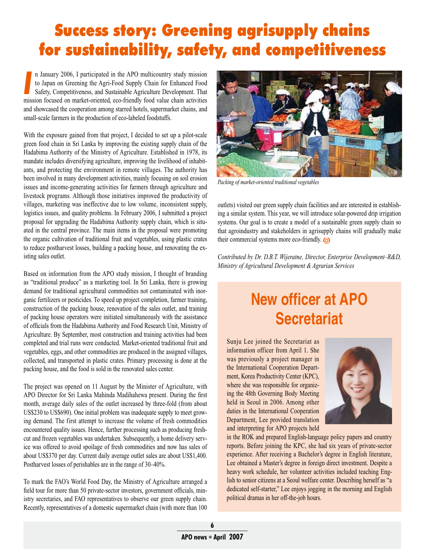## Success story: Greening agrisupply chains for sustainability, safety, and competitiveness

II January 2006, 1 participated in the APO mutticountry study mission<br>to Japan on Greening the Agri-Food Supply Chain for Enhanced Food<br>Safety, Competitiveness, and Sustainable Agriculture Development. That<br>mission focused n January 2006, I participated in the APO multicountry study mission to Japan on Greening the Agri-Food Supply Chain for Enhanced Food Safety, Competitiveness, and Sustainable Agriculture Development. That and showcased the cooperation among starred hotels, supermarket chains, and small-scale farmers in the production of eco-labeled foodstuffs.

With the exposure gained from that project, I decided to set up a pilot-scale green food chain in Sri Lanka by improving the existing supply chain of the Hadabima Authority of the Ministry of Agriculture. Established in 1978, its mandate includes diversifying agriculture, improving the livelihood of inhabitants, and protecting the environment in remote villages. The authority has been involved in many development activities, mainly focusing on soil erosion issues and income-generating activities for farmers through agriculture and livestock programs. Although those initiatives improved the productivity of villages, marketing was ineffective due to low volume, inconsistent supply, logistics issues, and quality problems. In February 2006, I submitted a project proposal for upgrading the Hadabima Authority supply chain, which is situated in the central province. The main items in the proposal were promoting the organic cultivation of traditional fruit and vegetables, using plastic crates to reduce postharvest losses, building a packing house, and renovating the existing sales outlet.

Based on information from the APO study mission, I thought of branding as "traditional produce" as a marketing tool. In Sri Lanka, there is growing demand for traditional agricultural commodities not contaminated with inorganic fertilizers or pesticides. To speed up project completion, farmer training, construction of the packing house, renovation of the sales outlet, and training of packing house operators were initiated simultaneously with the assistance of officials from the Hadabima Authority and Food Research Unit, Ministry of Agriculture. By September, most construction and training activities had been completed and trial runs were conducted. Market-oriented traditional fruit and vegetables, eggs, and other commodities are produced in the assigned villages, collected, and transported in plastic crates. Primary processing is done at the packing house, and the food is sold in the renovated sales center.

The project was opened on 11 August by the Minister of Agriculture, with APO Director for Sri Lanka Mahinda Madihahewa present. During the first month, average daily sales of the outlet increased by three-fold (from about US\$230 to US\$690). One initial problem was inadequate supply to meet growing demand. The first attempt to increase the volume of fresh commodities encountered quality issues. Hence, further processing such as producing freshcut and frozen vegetables was undertaken. Subsequently, a home delivery service was offered to avoid spoilage of fresh commodities and now has sales of about US\$370 per day. Current daily average outlet sales are about US\$1,400. Postharvest losses of perishables are in the range of 30–40%.

To mark the FAO's World Food Day, the Ministry of Agriculture arranged a field tour for more than 50 private-sector investors, government officials, ministry secretaries, and FAO representatives to observe our green supply chain. Recently, representatives of a domestic supermarket chain (with more than 100



*Packing of market-oriented traditional vegetables*

outlets) visited our green supply chain facilities and are interested in establishing a similar system. This year, we will introduce solar-powered drip irrigation systems. Our goal is to create a model of a sustainable green supply chain so that agroindustry and stakeholders in agrisupply chains will gradually make their commercial systems more eco-friendly.

*Contributed by Dr. D.B.T. Wijeratne, Director, Enterprise Development–R&D, Ministry of Agricultural Development & Agrarian Services* 

## **New officer at APO Secretariat**

Sunju Lee joined the Secretariat as information officer from April 1. She was previously a project manager in the International Cooperation Department, Korea Productivity Center (KPC), where she was responsible for organizing the 48th Governing Body Meeting held in Seoul in 2006. Among other duties in the International Cooperation Department, Lee provided translation and interpreting for APO projects held



in the ROK and prepared English-language policy papers and country reports. Before joining the KPC, she had six years of private-sector experience. After receiving a Bachelor's degree in English literature, Lee obtained a Master's degree in foreign direct investment. Despite a heavy work schedule, her volunteer activities included teaching English to senior citizens at a Seoul welfare center. Describing herself as "a dedicated self-starter," Lee enjoys jogging in the morning and English political dramas in her off-the-job hours.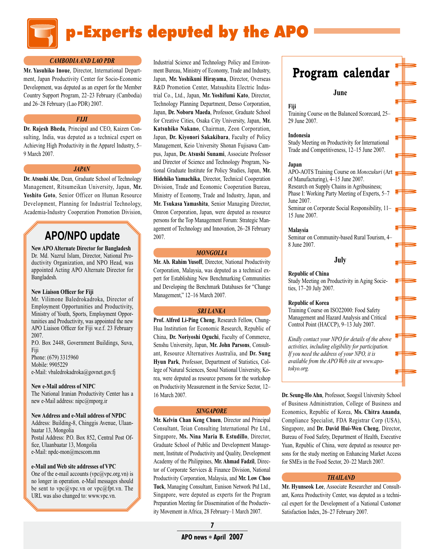

#### *CAMBODIA AND LAO PDR*

**Mr. Yasuhiko Inoue**, Director, International Department, Japan Productivity Center for Socio-Economic Development, was deputed as an expert for the Member Country Support Program, 22–23 February (Cambodia) and 26–28 February (Lao PDR) 2007.

#### *FIJI*

**Dr. Rajesh Bheda**, Principal and CEO, Kaizen Consulting, India, was deputed as a technical expert on Achieving High Productivity in the Apparel Industry, 5– 9 March 2007.

#### *JAPAN*

**Dr. Atsushi Abe**, Dean, Graduate School of Technology Management, Ritsumeikan University, Japan, **Mr. Yoshito Goto**, Senior Officer on Human Resource Development, Planning for Industrial Technology, Academia-Industry Cooperation Promotion Division,

### **APO/NPO update**

**New APO Alternate Director for Bangladesh**  Dr. Md. Nazrul Islam, Director, National Productivity Organization, and NPO Head, was appointed Acting APO Alternate Director for Bangladesh.

#### **New Liaison Officer for Fiji**

Mr. Vilimone Baledrokadroka, Director of Employment Opportunities and Productivity, Ministry of Youth, Sports, Employment Opportunities and Productivity, was appointed the new APO Liaison Officer for Fiji w.e.f. 23 February 2007. P.O. Box 2448, Government Buildings, Suva,

Fiji Phone: (679) 3315960 Mobile: 9905229

e-Mail: vbaledrokadroka@govnet.gov.fj

#### **New e-Mail address of NIPC**

The National Iranian Productivity Center has a new e-Mail address: nipc@mporg.ir

#### **New Address and e-Mail address of NPDC**

Address: Building-8, Chinggis Avenue, Ulaanbaatar 13, Mongolia Postal Address: P.O. Box 852, Central Post Office, Ulaanbaatar 13, Mongolia e-Mail: npdc-mon@mcscom.mn

#### **e-Mail and Web site addresses of VPC**

One of the e-mail accounts (vpc@vpc.org.vn) is no longer in operation. e-Mail messages should be sent to  $\nu$ pc@vpc.vn or  $\nu$ pc@fpt.vn. The URL was also changed to: www.vpc.vn.

Industrial Science and Technology Policy and Environment Bureau, Ministry of Economy, Trade and Industry, Japan, **Mr. Yoshikuni Hirayama**, Director, Overseas R&D Promotion Center, Matsushita Electric Industrial Co., Ltd., Japan, **Mr. Yoshifumi Kato**, Director, Technology Planning Department, Denso Corporation, Japan, **Dr. Noboru Maeda**, Professor, Graduate School for Creative Cities, Osaka City University, Japan, **Mr. Katsuhiko Nakano**, Chairman, Zeon Corporation, Japan, **Dr. Kiyonori Sakakibara**, Faculty of Policy Management, Keio University Shonan Fujisawa Campus, Japan, **Dr. Atsushi Sunami**, Associate Professor and Director of Science and Technology Program, National Graduate Institute for Policy Studies, Japan, **Mr. Hidehiko Yamachika**, Director, Technical Cooperation Division, Trade and Economic Cooperation Bureau, Ministry of Economy, Trade and Industry, Japan, and **Mr. Tsukasa Yamashita**, Senior Managing Director, Omron Corporation, Japan, were deputed as resource persons for the Top Management Forum: Strategic Management of Technology and Innovation, 26–28 February 2007.

#### *MONGOLIA*

**Mr. Ab. Rahim Yusoff**, Director, National Productivity Corporation, Malaysia, was deputed as a technical expert for Establishing New Benchmarking Communities and Developing the Benchmark Databases for "Change Management," 12–16 March 2007.

#### *SRI LANKA*

**Prof. Alfred Li-Ping Cheng**, Research Fellow, Chung-Hua Institution for Economic Research, Republic of China, **Dr. Noriyoshi Oguchi**, Faculty of Commerce, Senshu University, Japan, **Mr. John Parsons**, Consultant, Resource Alternatives Australia, and **Dr. Sung Hyun Park**, Professor, Department of Statistics, College of Natural Sciences, Seoul National University, Korea, were deputed as resource persons for the workshop on Productivity Measurement in the Service Sector, 12– 16 March 2007.

#### *SINGAPORE*

**Mr. Kelvin Chan Keng Chuen**, Director and Principal Consultant, Teian Consulting International Pte Ltd., Singapore, **Ms. Nina Maria B. Estudillo**, Director, Graduate School of Public and Development Management, Institute of Productivity and Quality, Development Academy of the Philippines, **Mr. Ahmad Fadzil**, Director of Corporate Services & Finance Division, National Productivity Corporation, Malaysia, and **Mr. Low Choo Tuck**, Managing Consultant, Eunison Network Ptd Ltd., Singapore, were deputed as experts for the Program Preparation Meeting for Dissemination of the Productivity Movement in Africa, 28 February–1 March 2007.

### Program calendar

#### **June**

**Fiji**

Training Course on the Balanced Scorecard, 25– 29 June 2007.

#### **Indonesia**

Study Meeting on Productivity for International Trade and Competitiveness, 12–15 June 2007.

#### **Japan**

APO-AOTS Training Course on *Monozukuri* (Art of Manufacturing), 4–15 June 2007. Research on Supply Chains in Agribusiness; Phase I: Working Party Meeting of Experts, 5–7 June 2007. Seminar on Corporate Social Responsibility, 11– 15 June 2007.

#### **Malaysia**

Seminar on Community-based Rural Tourism, 4– 8 June 2007.

#### **July**

#### **Republic of China**

Study Meeting on Productivity in Aging Societies, 17–20 July 2007.

#### **Republic of Korea**

Training Course on ISO22000: Food Safety Management and Hazard Analysis and Critical Control Point (HACCP), 9–13 July 2007.

*Kindly contact your NPO for details of the above activities, including eligibility for participation. If you need the address of your NPO, it is available from the APO Web site at www.apotokyo.org.*

**Dr. Seung-Ho Ahn**, Professor, Soogsil University School of Business Administration, College of Business and Economics, Republic of Korea, **Ms. Chitra Ananda**, Compliance Specialist, FDA Registrar Corp (USA), Singapore, and **Dr. David Hui-Wen Cheng**, Director, Bureau of Food Safety, Department of Health, Executive Yuan, Republic of China, were deputed as resource persons for the study meeting on Enhancing Market Access for SMEs in the Food Sector, 20–22 March 2007.

#### *THAILAND*

**Mr. Hyunseok Lee**, Associate Researcher and Consultant, Korea Productivity Center, was deputed as a technical expert for the Development of a National Customer Satisfaction Index, 26–27 February 2007.